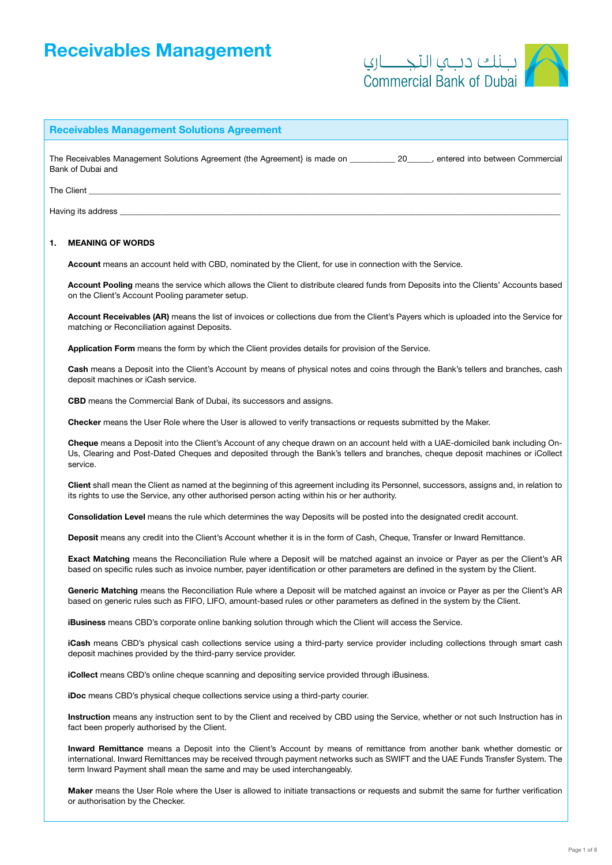# Receivables Management



# Receivables Management Solutions Agreement

The Receivables Management Solutions Agreement (the Agreement) is made on The Receivables Management Commercial Bank of Dubai and

The Client \_\_\_\_\_\_\_\_\_\_\_\_\_\_\_\_\_\_\_\_\_\_\_\_\_\_\_\_\_\_\_\_\_\_\_\_\_\_\_\_\_\_\_\_\_\_\_\_\_\_\_\_\_\_\_\_\_\_\_\_\_\_\_\_\_\_\_\_\_\_\_\_\_\_\_\_\_\_\_\_\_\_\_\_\_\_\_\_\_\_\_\_\_\_\_\_\_\_\_\_\_\_\_\_\_\_\_\_\_\_\_\_\_\_\_

Having its address

## 1. MEANING OF WORDS

Account means an account held with CBD, nominated by the Client, for use in connection with the Service.

Account Pooling means the service which allows the Client to distribute cleared funds from Deposits into the Clients' Accounts based on the Client's Account Pooling parameter setup.

Account Receivables (AR) means the list of invoices or collections due from the Client's Payers which is uploaded into the Service for matching or Reconciliation against Deposits.

Application Form means the form by which the Client provides details for provision of the Service.

Cash means a Deposit into the Client's Account by means of physical notes and coins through the Bank's tellers and branches, cash deposit machines or iCash service.

CBD means the Commercial Bank of Dubai, its successors and assigns.

Checker means the User Role where the User is allowed to verify transactions or requests submitted by the Maker.

Cheque means a Deposit into the Client's Account of any cheque drawn on an account held with a UAE-domiciled bank including On-Us, Clearing and Post-Dated Cheques and deposited through the Bank's tellers and branches, cheque deposit machines or iCollect service.

Client shall mean the Client as named at the beginning of this agreement including its Personnel, successors, assigns and, in relation to its rights to use the Service, any other authorised person acting within his or her authority.

Consolidation Level means the rule which determines the way Deposits will be posted into the designated credit account.

Deposit means any credit into the Client's Account whether it is in the form of Cash, Cheque, Transfer or Inward Remittance.

Exact Matching means the Reconciliation Rule where a Deposit will be matched against an invoice or Payer as per the Client's AR based on specific rules such as invoice number, payer identification or other parameters are defined in the system by the Client.

Generic Matching means the Reconciliation Rule where a Deposit will be matched against an invoice or Payer as per the Client's AR based on generic rules such as FIFO, LIFO, amount-based rules or other parameters as defined in the system by the Client.

iBusiness means CBD's corporate online banking solution through which the Client will access the Service.

iCash means CBD's physical cash collections service using a third-party service provider including collections through smart cash deposit machines provided by the third-parry service provider.

iCollect means CBD's online cheque scanning and depositing service provided through iBusiness.

iDoc means CBD's physical cheque collections service using a third-party courier.

Instruction means any instruction sent to by the Client and received by CBD using the Service, whether or not such Instruction has in fact been properly authorised by the Client.

Inward Remittance means a Deposit into the Client's Account by means of remittance from another bank whether domestic or international. Inward Remittances may be received through payment networks such as SWIFT and the UAE Funds Transfer System. The term Inward Payment shall mean the same and may be used interchangeably.

Maker means the User Role where the User is allowed to initiate transactions or requests and submit the same for further verification or authorisation by the Checker.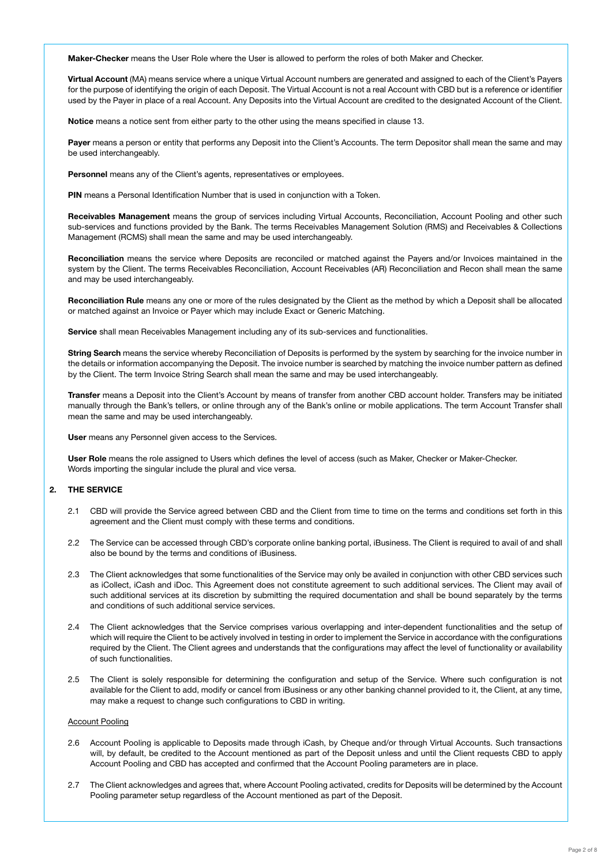Maker-Checker means the User Role where the User is allowed to perform the roles of both Maker and Checker.

Virtual Account (MA) means service where a unique Virtual Account numbers are generated and assigned to each of the Client's Payers for the purpose of identifying the origin of each Deposit. The Virtual Account is not a real Account with CBD but is a reference or identifier used by the Payer in place of a real Account. Any Deposits into the Virtual Account are credited to the designated Account of the Client.

Notice means a notice sent from either party to the other using the means specified in clause 13.

Payer means a person or entity that performs any Deposit into the Client's Accounts. The term Depositor shall mean the same and may be used interchangeably.

Personnel means any of the Client's agents, representatives or employees.

PIN means a Personal Identification Number that is used in conjunction with a Token.

Receivables Management means the group of services including Virtual Accounts, Reconciliation, Account Pooling and other such sub-services and functions provided by the Bank. The terms Receivables Management Solution (RMS) and Receivables & Collections Management (RCMS) shall mean the same and may be used interchangeably.

Reconciliation means the service where Deposits are reconciled or matched against the Payers and/or Invoices maintained in the system by the Client. The terms Receivables Reconciliation, Account Receivables (AR) Reconciliation and Recon shall mean the same and may be used interchangeably.

Reconciliation Rule means any one or more of the rules designated by the Client as the method by which a Deposit shall be allocated or matched against an Invoice or Payer which may include Exact or Generic Matching.

Service shall mean Receivables Management including any of its sub-services and functionalities.

String Search means the service whereby Reconciliation of Deposits is performed by the system by searching for the invoice number in the details or information accompanying the Deposit. The invoice number is searched by matching the invoice number pattern as defined by the Client. The term Invoice String Search shall mean the same and may be used interchangeably.

Transfer means a Deposit into the Client's Account by means of transfer from another CBD account holder. Transfers may be initiated manually through the Bank's tellers, or online through any of the Bank's online or mobile applications. The term Account Transfer shall mean the same and may be used interchangeably.

User means any Personnel given access to the Services.

User Role means the role assigned to Users which defines the level of access (such as Maker, Checker or Maker-Checker. Words importing the singular include the plural and vice versa.

### 2. THE SERVICE

- 2.1 CBD will provide the Service agreed between CBD and the Client from time to time on the terms and conditions set forth in this agreement and the Client must comply with these terms and conditions.
- 2.2 The Service can be accessed through CBD's corporate online banking portal, iBusiness. The Client is required to avail of and shall also be bound by the terms and conditions of iBusiness.
- 2.3 The Client acknowledges that some functionalities of the Service may only be availed in conjunction with other CBD services such as iCollect, iCash and iDoc. This Agreement does not constitute agreement to such additional services. The Client may avail of such additional services at its discretion by submitting the required documentation and shall be bound separately by the terms and conditions of such additional service services.
- 2.4 The Client acknowledges that the Service comprises various overlapping and inter-dependent functionalities and the setup of which will require the Client to be actively involved in testing in order to implement the Service in accordance with the configurations required by the Client. The Client agrees and understands that the configurations may affect the level of functionality or availability of such functionalities.
- 2.5 The Client is solely responsible for determining the configuration and setup of the Service. Where such configuration is not available for the Client to add, modify or cancel from iBusiness or any other banking channel provided to it, the Client, at any time, may make a request to change such configurations to CBD in writing.

#### Account Pooling

- 2.6 Account Pooling is applicable to Deposits made through iCash, by Cheque and/or through Virtual Accounts. Such transactions will, by default, be credited to the Account mentioned as part of the Deposit unless and until the Client requests CBD to apply Account Pooling and CBD has accepted and confirmed that the Account Pooling parameters are in place.
- 2.7 The Client acknowledges and agrees that, where Account Pooling activated, credits for Deposits will be determined by the Account Pooling parameter setup regardless of the Account mentioned as part of the Deposit.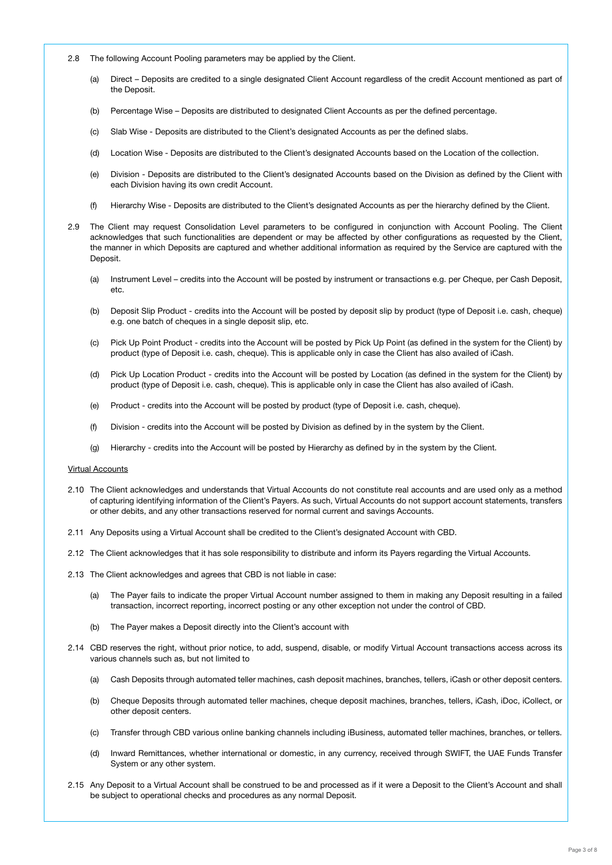- 2.8 The following Account Pooling parameters may be applied by the Client.
	- (a) Direct Deposits are credited to a single designated Client Account regardless of the credit Account mentioned as part of the Deposit.
	- (b) Percentage Wise Deposits are distributed to designated Client Accounts as per the defined percentage.
	- (c) Slab Wise Deposits are distributed to the Client's designated Accounts as per the defined slabs.
	- (d) Location Wise Deposits are distributed to the Client's designated Accounts based on the Location of the collection.
	- (e) Division Deposits are distributed to the Client's designated Accounts based on the Division as defined by the Client with each Division having its own credit Account.
	- (f) Hierarchy Wise Deposits are distributed to the Client's designated Accounts as per the hierarchy defined by the Client.
- 2.9 The Client may request Consolidation Level parameters to be configured in conjunction with Account Pooling. The Client acknowledges that such functionalities are dependent or may be affected by other configurations as requested by the Client, the manner in which Deposits are captured and whether additional information as required by the Service are captured with the Deposit.
	- (a) Instrument Level credits into the Account will be posted by instrument or transactions e.g. per Cheque, per Cash Deposit, etc.
	- (b) Deposit Slip Product credits into the Account will be posted by deposit slip by product (type of Deposit i.e. cash, cheque) e.g. one batch of cheques in a single deposit slip, etc.
	- (c) Pick Up Point Product credits into the Account will be posted by Pick Up Point (as defined in the system for the Client) by product (type of Deposit i.e. cash, cheque). This is applicable only in case the Client has also availed of iCash.
	- (d) Pick Up Location Product credits into the Account will be posted by Location (as defined in the system for the Client) by product (type of Deposit i.e. cash, cheque). This is applicable only in case the Client has also availed of iCash.
	- (e) Product credits into the Account will be posted by product (type of Deposit i.e. cash, cheque).
	- (f) Division credits into the Account will be posted by Division as defined by in the system by the Client.
	- (g) Hierarchy credits into the Account will be posted by Hierarchy as defined by in the system by the Client.

#### Virtual Accounts

- 2.10 The Client acknowledges and understands that Virtual Accounts do not constitute real accounts and are used only as a method of capturing identifying information of the Client's Payers. As such, Virtual Accounts do not support account statements, transfers or other debits, and any other transactions reserved for normal current and savings Accounts.
- 2.11 Any Deposits using a Virtual Account shall be credited to the Client's designated Account with CBD.
- 2.12 The Client acknowledges that it has sole responsibility to distribute and inform its Payers regarding the Virtual Accounts.
- 2.13 The Client acknowledges and agrees that CBD is not liable in case:
	- (a) The Payer fails to indicate the proper Virtual Account number assigned to them in making any Deposit resulting in a failed transaction, incorrect reporting, incorrect posting or any other exception not under the control of CBD.
	- (b) The Payer makes a Deposit directly into the Client's account with
- 2.14 CBD reserves the right, without prior notice, to add, suspend, disable, or modify Virtual Account transactions access across its various channels such as, but not limited to
	- (a) Cash Deposits through automated teller machines, cash deposit machines, branches, tellers, iCash or other deposit centers.
	- (b) Cheque Deposits through automated teller machines, cheque deposit machines, branches, tellers, iCash, iDoc, iCollect, or other deposit centers.
	- (c) Transfer through CBD various online banking channels including iBusiness, automated teller machines, branches, or tellers.
	- (d) Inward Remittances, whether international or domestic, in any currency, received through SWIFT, the UAE Funds Transfer System or any other system.
- 2.15 Any Deposit to a Virtual Account shall be construed to be and processed as if it were a Deposit to the Client's Account and shall be subject to operational checks and procedures as any normal Deposit.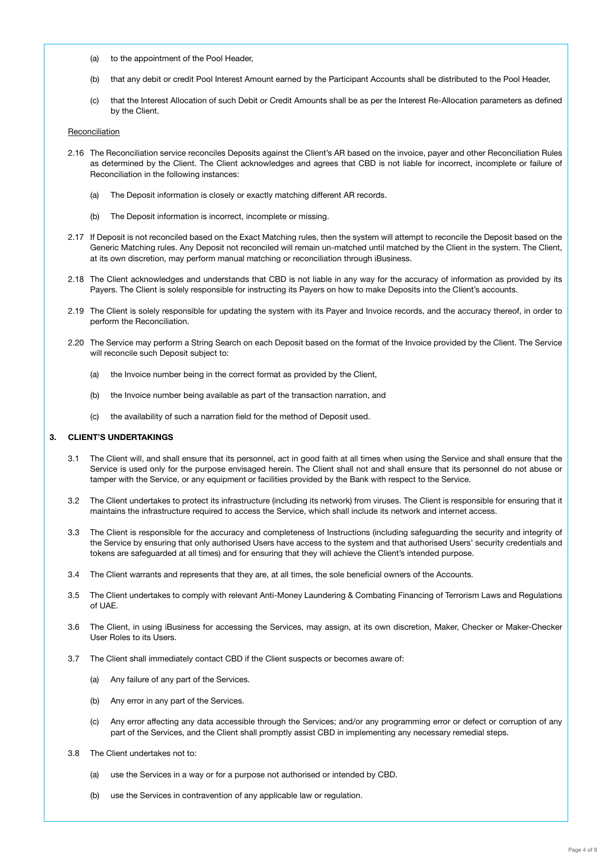- (a) to the appointment of the Pool Header,
- (b) that any debit or credit Pool Interest Amount earned by the Participant Accounts shall be distributed to the Pool Header,
- (c) that the Interest Allocation of such Debit or Credit Amounts shall be as per the Interest Re-Allocation parameters as defined by the Client.

#### Reconciliation

- 2.16 The Reconciliation service reconciles Deposits against the Client's AR based on the invoice, payer and other Reconciliation Rules as determined by the Client. The Client acknowledges and agrees that CBD is not liable for incorrect, incomplete or failure of Reconciliation in the following instances:
	- (a) The Deposit information is closely or exactly matching different AR records.
	- (b) The Deposit information is incorrect, incomplete or missing.
- 2.17 If Deposit is not reconciled based on the Exact Matching rules, then the system will attempt to reconcile the Deposit based on the Generic Matching rules. Any Deposit not reconciled will remain un-matched until matched by the Client in the system. The Client, at its own discretion, may perform manual matching or reconciliation through iBusiness.
- 2.18 The Client acknowledges and understands that CBD is not liable in any way for the accuracy of information as provided by its Payers. The Client is solely responsible for instructing its Payers on how to make Deposits into the Client's accounts.
- 2.19 The Client is solely responsible for updating the system with its Payer and Invoice records, and the accuracy thereof, in order to perform the Reconciliation.
- 2.20 The Service may perform a String Search on each Deposit based on the format of the Invoice provided by the Client. The Service will reconcile such Deposit subject to:
	- (a) the Invoice number being in the correct format as provided by the Client,
	- (b) the Invoice number being available as part of the transaction narration, and
	- (c) the availability of such a narration field for the method of Deposit used.

#### 3. CLIENT'S UNDERTAKINGS

- 3.1 The Client will, and shall ensure that its personnel, act in good faith at all times when using the Service and shall ensure that the Service is used only for the purpose envisaged herein. The Client shall not and shall ensure that its personnel do not abuse or tamper with the Service, or any equipment or facilities provided by the Bank with respect to the Service.
- 3.2 The Client undertakes to protect its infrastructure (including its network) from viruses. The Client is responsible for ensuring that it maintains the infrastructure required to access the Service, which shall include its network and internet access.
- 3.3 The Client is responsible for the accuracy and completeness of Instructions (including safeguarding the security and integrity of the Service by ensuring that only authorised Users have access to the system and that authorised Users' security credentials and tokens are safeguarded at all times) and for ensuring that they will achieve the Client's intended purpose.
- 3.4 The Client warrants and represents that they are, at all times, the sole beneficial owners of the Accounts.
- 3.5 The Client undertakes to comply with relevant Anti-Money Laundering & Combating Financing of Terrorism Laws and Regulations of UAE.
- 3.6 The Client, in using iBusiness for accessing the Services, may assign, at its own discretion, Maker, Checker or Maker-Checker User Roles to its Users.
- 3.7 The Client shall immediately contact CBD if the Client suspects or becomes aware of:
	- (a) Any failure of any part of the Services.
	- (b) Any error in any part of the Services.
	- (c) Any error affecting any data accessible through the Services; and/or any programming error or defect or corruption of any part of the Services, and the Client shall promptly assist CBD in implementing any necessary remedial steps.
- 3.8 The Client undertakes not to:
	- (a) use the Services in a way or for a purpose not authorised or intended by CBD.
	- (b) use the Services in contravention of any applicable law or regulation.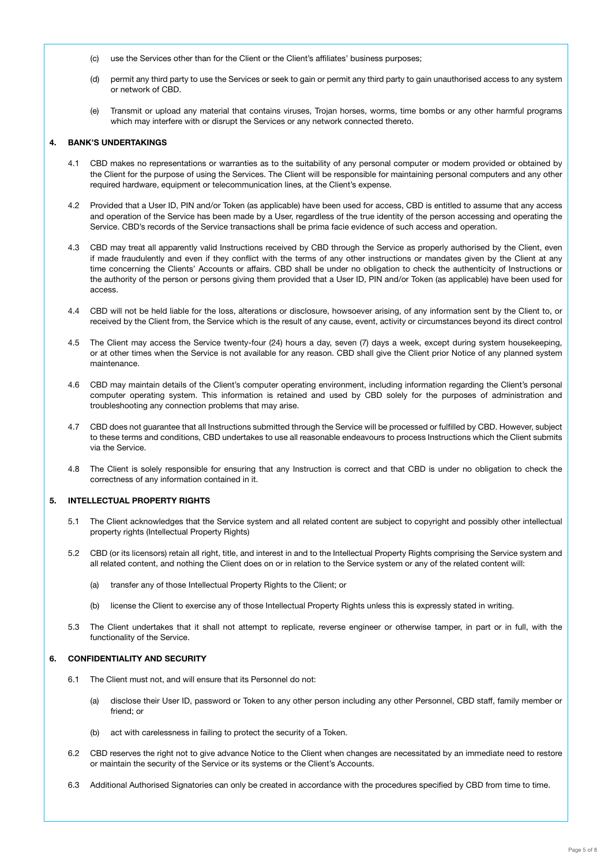- (c) use the Services other than for the Client or the Client's affiliates' business purposes;
- (d) permit any third party to use the Services or seek to gain or permit any third party to gain unauthorised access to any system or network of CBD.
- (e) Transmit or upload any material that contains viruses, Trojan horses, worms, time bombs or any other harmful programs which may interfere with or disrupt the Services or any network connected thereto.

# 4. BANK'S UNDERTAKINGS

- 4.1 CBD makes no representations or warranties as to the suitability of any personal computer or modem provided or obtained by the Client for the purpose of using the Services. The Client will be responsible for maintaining personal computers and any other required hardware, equipment or telecommunication lines, at the Client's expense.
- 4.2 Provided that a User ID, PIN and/or Token (as applicable) have been used for access, CBD is entitled to assume that any access and operation of the Service has been made by a User, regardless of the true identity of the person accessing and operating the Service. CBD's records of the Service transactions shall be prima facie evidence of such access and operation.
- 4.3 CBD may treat all apparently valid Instructions received by CBD through the Service as properly authorised by the Client, even if made fraudulently and even if they conflict with the terms of any other instructions or mandates given by the Client at any time concerning the Clients' Accounts or affairs. CBD shall be under no obligation to check the authenticity of Instructions or the authority of the person or persons giving them provided that a User ID, PIN and/or Token (as applicable) have been used for access.
- 4.4 CBD will not be held liable for the loss, alterations or disclosure, howsoever arising, of any information sent by the Client to, or received by the Client from, the Service which is the result of any cause, event, activity or circumstances beyond its direct control
- The Client may access the Service twenty-four (24) hours a day, seven (7) days a week, except during system housekeeping, or at other times when the Service is not available for any reason. CBD shall give the Client prior Notice of any planned system maintenance.
- 4.6 CBD may maintain details of the Client's computer operating environment, including information regarding the Client's personal computer operating system. This information is retained and used by CBD solely for the purposes of administration and troubleshooting any connection problems that may arise.
- 4.7 CBD does not guarantee that all Instructions submitted through the Service will be processed or fulfilled by CBD. However, subject to these terms and conditions, CBD undertakes to use all reasonable endeavours to process Instructions which the Client submits via the Service.
- 4.8 The Client is solely responsible for ensuring that any Instruction is correct and that CBD is under no obligation to check the correctness of any information contained in it.

#### 5. INTELLECTUAL PROPERTY RIGHTS

- 5.1 The Client acknowledges that the Service system and all related content are subject to copyright and possibly other intellectual property rights (Intellectual Property Rights)
- 5.2 CBD (or its licensors) retain all right, title, and interest in and to the Intellectual Property Rights comprising the Service system and all related content, and nothing the Client does on or in relation to the Service system or any of the related content will:
	- (a) transfer any of those Intellectual Property Rights to the Client; or
	- (b) license the Client to exercise any of those Intellectual Property Rights unless this is expressly stated in writing.
- 5.3 The Client undertakes that it shall not attempt to replicate, reverse engineer or otherwise tamper, in part or in full, with the functionality of the Service.

# 6. CONFIDENTIALITY AND SECURITY

- 6.1 The Client must not, and will ensure that its Personnel do not:
	- (a) disclose their User ID, password or Token to any other person including any other Personnel, CBD staff, family member or friend; or
	- (b) act with carelessness in failing to protect the security of a Token.
- 6.2 CBD reserves the right not to give advance Notice to the Client when changes are necessitated by an immediate need to restore or maintain the security of the Service or its systems or the Client's Accounts.
- 6.3 Additional Authorised Signatories can only be created in accordance with the procedures specified by CBD from time to time.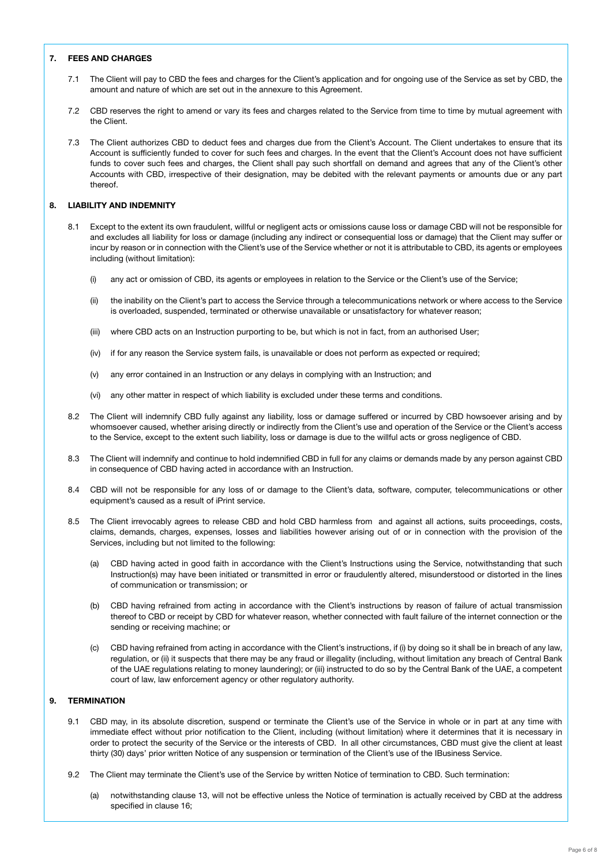## 7. FEES AND CHARGES

- 7.1 The Client will pay to CBD the fees and charges for the Client's application and for ongoing use of the Service as set by CBD, the amount and nature of which are set out in the annexure to this Agreement.
- 7.2 CBD reserves the right to amend or vary its fees and charges related to the Service from time to time by mutual agreement with the Client.
- 7.3 The Client authorizes CBD to deduct fees and charges due from the Client's Account. The Client undertakes to ensure that its Account is sufficiently funded to cover for such fees and charges. In the event that the Client's Account does not have sufficient funds to cover such fees and charges, the Client shall pay such shortfall on demand and agrees that any of the Client's other Accounts with CBD, irrespective of their designation, may be debited with the relevant payments or amounts due or any part thereof.

## 8. LIABILITY AND INDEMNITY

- 8.1 Except to the extent its own fraudulent, willful or negligent acts or omissions cause loss or damage CBD will not be responsible for and excludes all liability for loss or damage (including any indirect or consequential loss or damage) that the Client may suffer or incur by reason or in connection with the Client's use of the Service whether or not it is attributable to CBD, its agents or employees including (without limitation):
	- (i) any act or omission of CBD, its agents or employees in relation to the Service or the Client's use of the Service;
	- (ii) the inability on the Client's part to access the Service through a telecommunications network or where access to the Service is overloaded, suspended, terminated or otherwise unavailable or unsatisfactory for whatever reason;
	- (iii) where CBD acts on an Instruction purporting to be, but which is not in fact, from an authorised User;
	- (iv) if for any reason the Service system fails, is unavailable or does not perform as expected or required;
	- (v) any error contained in an Instruction or any delays in complying with an Instruction; and
	- (vi) any other matter in respect of which liability is excluded under these terms and conditions.
- 8.2 The Client will indemnify CBD fully against any liability, loss or damage suffered or incurred by CBD howsoever arising and by whomsoever caused, whether arising directly or indirectly from the Client's use and operation of the Service or the Client's access to the Service, except to the extent such liability, loss or damage is due to the willful acts or gross negligence of CBD.
- 8.3 The Client will indemnify and continue to hold indemnified CBD in full for any claims or demands made by any person against CBD in consequence of CBD having acted in accordance with an Instruction.
- 8.4 CBD will not be responsible for any loss of or damage to the Client's data, software, computer, telecommunications or other equipment's caused as a result of iPrint service.
- 8.5 The Client irrevocably agrees to release CBD and hold CBD harmless from and against all actions, suits proceedings, costs, claims, demands, charges, expenses, losses and liabilities however arising out of or in connection with the provision of the Services, including but not limited to the following:
	- (a) CBD having acted in good faith in accordance with the Client's Instructions using the Service, notwithstanding that such Instruction(s) may have been initiated or transmitted in error or fraudulently altered, misunderstood or distorted in the lines of communication or transmission; or
	- (b) CBD having refrained from acting in accordance with the Client's instructions by reason of failure of actual transmission thereof to CBD or receipt by CBD for whatever reason, whether connected with fault failure of the internet connection or the sending or receiving machine; or
	- (c) CBD having refrained from acting in accordance with the Client's instructions, if (i) by doing so it shall be in breach of any law, regulation, or (ii) it suspects that there may be any fraud or illegality (including, without limitation any breach of Central Bank of the UAE regulations relating to money laundering); or (iii) instructed to do so by the Central Bank of the UAE, a competent court of law, law enforcement agency or other regulatory authority.

## 9. TERMINATION

- 9.1 CBD may, in its absolute discretion, suspend or terminate the Client's use of the Service in whole or in part at any time with immediate effect without prior notification to the Client, including (without limitation) where it determines that it is necessary in order to protect the security of the Service or the interests of CBD. In all other circumstances, CBD must give the client at least thirty (30) days' prior written Notice of any suspension or termination of the Client's use of the IBusiness Service.
- 9.2 The Client may terminate the Client's use of the Service by written Notice of termination to CBD. Such termination:
	- (a) notwithstanding clause 13, will not be effective unless the Notice of termination is actually received by CBD at the address specified in clause 16;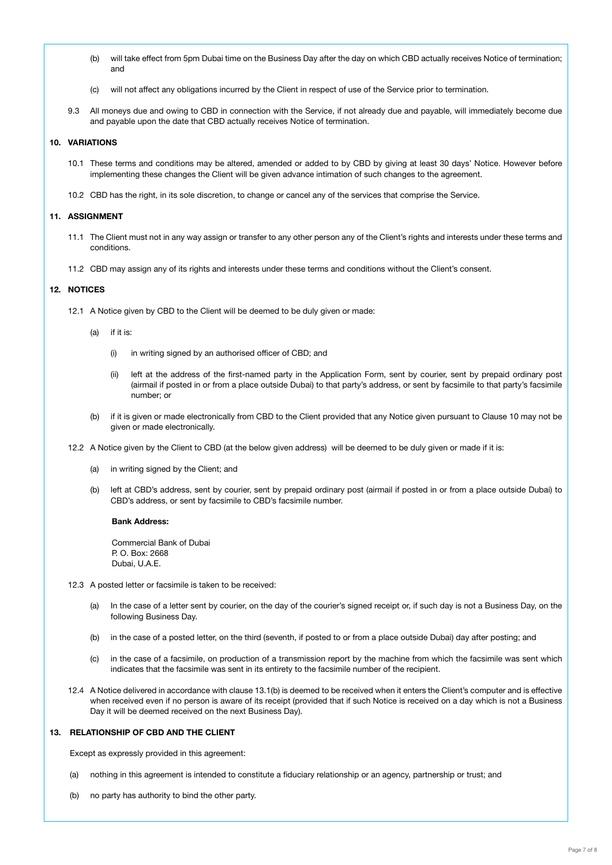- (b) will take effect from 5pm Dubai time on the Business Day after the day on which CBD actually receives Notice of termination; and
- (c) will not affect any obligations incurred by the Client in respect of use of the Service prior to termination.
- 9.3 All moneys due and owing to CBD in connection with the Service, if not already due and payable, will immediately become due and payable upon the date that CBD actually receives Notice of termination.

# 10. VARIATIONS

- 10.1 These terms and conditions may be altered, amended or added to by CBD by giving at least 30 days' Notice. However before implementing these changes the Client will be given advance intimation of such changes to the agreement.
- 10.2 CBD has the right, in its sole discretion, to change or cancel any of the services that comprise the Service.

#### 11. ASSIGNMENT

- 11.1 The Client must not in any way assign or transfer to any other person any of the Client's rights and interests under these terms and conditions.
- 11.2 CBD may assign any of its rights and interests under these terms and conditions without the Client's consent.

# 12. NOTICES

- 12.1 A Notice given by CBD to the Client will be deemed to be duly given or made:
	- (a) if it is:
		- (i) in writing signed by an authorised officer of CBD; and
		- (ii) left at the address of the first-named party in the Application Form, sent by courier, sent by prepaid ordinary post (airmail if posted in or from a place outside Dubai) to that party's address, or sent by facsimile to that party's facsimile number; or
	- (b) if it is given or made electronically from CBD to the Client provided that any Notice given pursuant to Clause 10 may not be given or made electronically.
- 12.2 A Notice given by the Client to CBD (at the below given address) will be deemed to be duly given or made if it is:
	- (a) in writing signed by the Client; and
	- (b) left at CBD's address, sent by courier, sent by prepaid ordinary post (airmail if posted in or from a place outside Dubai) to CBD's address, or sent by facsimile to CBD's facsimile number.

#### Bank Address:

Commercial Bank of Dubai P. O. Box: 2668 Dubai, U.A.E.

- 12.3 A posted letter or facsimile is taken to be received:
	- (a) In the case of a letter sent by courier, on the day of the courier's signed receipt or, if such day is not a Business Day, on the following Business Day.
	- (b) in the case of a posted letter, on the third (seventh, if posted to or from a place outside Dubai) day after posting; and
	- (c) in the case of a facsimile, on production of a transmission report by the machine from which the facsimile was sent which indicates that the facsimile was sent in its entirety to the facsimile number of the recipient.
- 12.4 A Notice delivered in accordance with clause 13.1(b) is deemed to be received when it enters the Client's computer and is effective when received even if no person is aware of its receipt (provided that if such Notice is received on a day which is not a Business Day it will be deemed received on the next Business Day).

#### 13. RELATIONSHIP OF CBD AND THE CLIENT

Except as expressly provided in this agreement:

- (a) nothing in this agreement is intended to constitute a fiduciary relationship or an agency, partnership or trust; and
- (b) no party has authority to bind the other party.